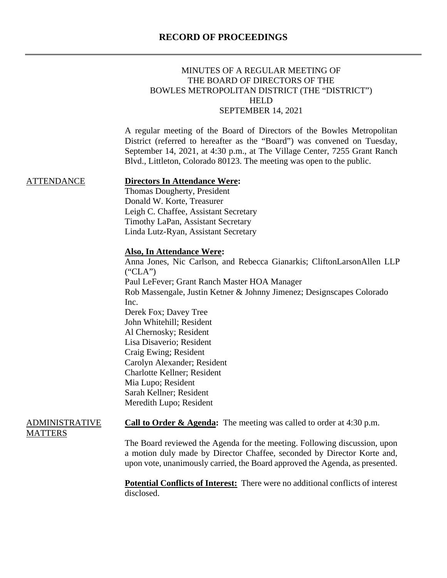| MINUTES OF A REGULAR MEETING OF               |
|-----------------------------------------------|
| THE BOARD OF DIRECTORS OF THE                 |
| BOWLES METROPOLITAN DISTRICT (THE "DISTRICT") |
| HELD.                                         |
| SEPTEMBER 14, 2021                            |

A regular meeting of the Board of Directors of the Bowles Metropolitan District (referred to hereafter as the "Board") was convened on Tuesday, September 14, 2021, at 4:30 p.m., at The Village Center, 7255 Grant Ranch Blvd., Littleton, Colorado 80123. The meeting was open to the public.

#### ATTENDANCE **Directors In Attendance Were:**

Thomas Dougherty, President Donald W. Korte, Treasurer Leigh C. Chaffee, Assistant Secretary Timothy LaPan, Assistant Secretary Linda Lutz-Ryan, Assistant Secretary

### **Also, In Attendance Were:**

Anna Jones, Nic Carlson, and Rebecca Gianarkis; CliftonLarsonAllen LLP ("CLA") Paul LeFever; Grant Ranch Master HOA Manager Rob Massengale, Justin Ketner & Johnny Jimenez; Designscapes Colorado Inc. Derek Fox; Davey Tree John Whitehill; Resident Al Chernosky; Resident Lisa Disaverio; Resident Craig Ewing; Resident Carolyn Alexander; Resident Charlotte Kellner; Resident Mia Lupo; Resident Sarah Kellner; Resident Meredith Lupo; Resident

## ADMINISTRATIVE **MATTERS**

**Call to Order & Agenda:** The meeting was called to order at 4:30 p.m.

The Board reviewed the Agenda for the meeting. Following discussion, upon a motion duly made by Director Chaffee, seconded by Director Korte and, upon vote, unanimously carried, the Board approved the Agenda, as presented.

**Potential Conflicts of Interest:** There were no additional conflicts of interest disclosed.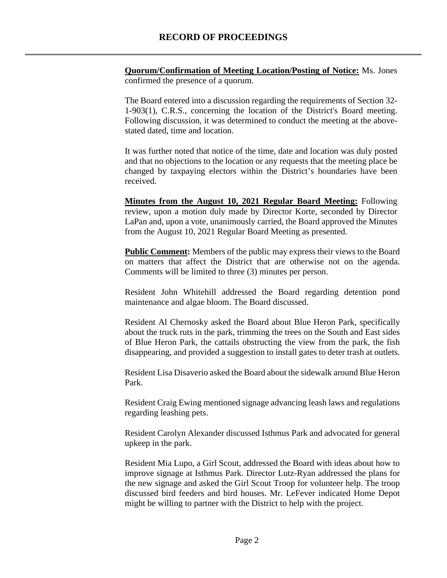**Quorum/Confirmation of Meeting Location/Posting of Notice:** Ms. Jones confirmed the presence of a quorum.

The Board entered into a discussion regarding the requirements of Section 32- 1-903(1), C.R.S., concerning the location of the District's Board meeting. Following discussion, it was determined to conduct the meeting at the abovestated dated, time and location.

It was further noted that notice of the time, date and location was duly posted and that no objections to the location or any requests that the meeting place be changed by taxpaying electors within the District's boundaries have been received.

**Minutes from the August 10, 2021 Regular Board Meeting:** Following review, upon a motion duly made by Director Korte, seconded by Director LaPan and, upon a vote, unanimously carried, the Board approved the Minutes from the August 10, 2021 Regular Board Meeting as presented.

**Public Comment:** Members of the public may express their views to the Board on matters that affect the District that are otherwise not on the agenda. Comments will be limited to three (3) minutes per person.

Resident John Whitehill addressed the Board regarding detention pond maintenance and algae bloom. The Board discussed.

Resident Al Chernosky asked the Board about Blue Heron Park, specifically about the truck ruts in the park, trimming the trees on the South and East sides of Blue Heron Park, the cattails obstructing the view from the park, the fish disappearing, and provided a suggestion to install gates to deter trash at outlets.

Resident Lisa Disaverio asked the Board about the sidewalk around Blue Heron Park.

Resident Craig Ewing mentioned signage advancing leash laws and regulations regarding leashing pets.

Resident Carolyn Alexander discussed Isthmus Park and advocated for general upkeep in the park.

Resident Mia Lupo, a Girl Scout, addressed the Board with ideas about how to improve signage at Isthmus Park. Director Lutz-Ryan addressed the plans for the new signage and asked the Girl Scout Troop for volunteer help. The troop discussed bird feeders and bird houses. Mr. LeFever indicated Home Depot might be willing to partner with the District to help with the project.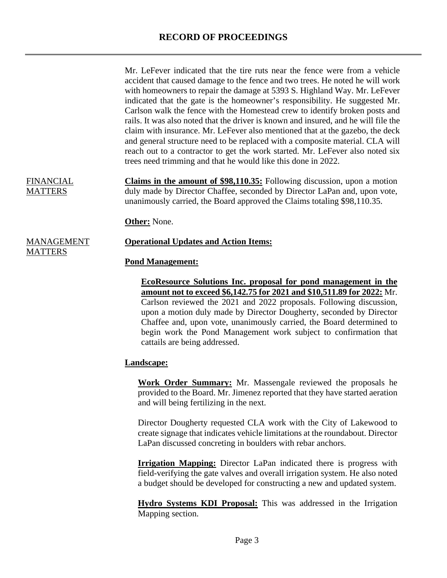Mr. LeFever indicated that the tire ruts near the fence were from a vehicle accident that caused damage to the fence and two trees. He noted he will work with homeowners to repair the damage at 5393 S. Highland Way. Mr. LeFever indicated that the gate is the homeowner's responsibility. He suggested Mr. Carlson walk the fence with the Homestead crew to identify broken posts and rails. It was also noted that the driver is known and insured, and he will file the claim with insurance. Mr. LeFever also mentioned that at the gazebo, the deck and general structure need to be replaced with a composite material. CLA will reach out to a contractor to get the work started. Mr. LeFever also noted six trees need trimming and that he would like this done in 2022.

FINANCIAL MATTERS

**MATTERS** 

**Claims in the amount of \$98,110.35:** Following discussion, upon a motion duly made by Director Chaffee, seconded by Director LaPan and, upon vote, unanimously carried, the Board approved the Claims totaling \$98,110.35.

**Other:** None.

#### MANAGEMENT **Operational Updates and Action Items:**

### **Pond Management:**

**EcoResource Solutions Inc. proposal for pond management in the amount not to exceed \$6,142.75 for 2021 and \$10,511.89 for 2022:** Mr. Carlson reviewed the 2021 and 2022 proposals. Following discussion, upon a motion duly made by Director Dougherty, seconded by Director Chaffee and, upon vote, unanimously carried, the Board determined to begin work the Pond Management work subject to confirmation that cattails are being addressed.

## **Landscape:**

**Work Order Summary:** Mr. Massengale reviewed the proposals he provided to the Board. Mr. Jimenez reported that they have started aeration and will being fertilizing in the next.

Director Dougherty requested CLA work with the City of Lakewood to create signage that indicates vehicle limitations at the roundabout. Director LaPan discussed concreting in boulders with rebar anchors.

**Irrigation Mapping:** Director LaPan indicated there is progress with field-verifying the gate valves and overall irrigation system. He also noted a budget should be developed for constructing a new and updated system.

**Hydro Systems KDI Proposal:** This was addressed in the Irrigation Mapping section.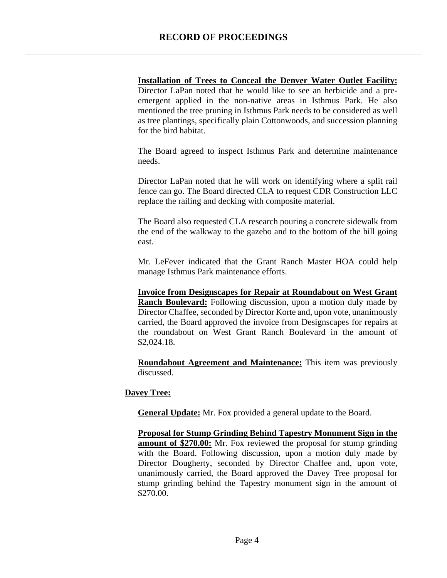# **Installation of Trees to Conceal the Denver Water Outlet Facility:**

Director LaPan noted that he would like to see an herbicide and a preemergent applied in the non-native areas in Isthmus Park. He also mentioned the tree pruning in Isthmus Park needs to be considered as well as tree plantings, specifically plain Cottonwoods, and succession planning for the bird habitat.

The Board agreed to inspect Isthmus Park and determine maintenance needs.

Director LaPan noted that he will work on identifying where a split rail fence can go. The Board directed CLA to request CDR Construction LLC replace the railing and decking with composite material.

The Board also requested CLA research pouring a concrete sidewalk from the end of the walkway to the gazebo and to the bottom of the hill going east.

Mr. LeFever indicated that the Grant Ranch Master HOA could help manage Isthmus Park maintenance efforts.

**Invoice from Designscapes for Repair at Roundabout on West Grant Ranch Boulevard:** Following discussion, upon a motion duly made by Director Chaffee, seconded by Director Korte and, upon vote, unanimously carried, the Board approved the invoice from Designscapes for repairs at the roundabout on West Grant Ranch Boulevard in the amount of \$2,024.18.

**Roundabout Agreement and Maintenance:** This item was previously discussed.

# **Davey Tree:**

**General Update:** Mr. Fox provided a general update to the Board.

**Proposal for Stump Grinding Behind Tapestry Monument Sign in the amount of \$270.00:** Mr. Fox reviewed the proposal for stump grinding with the Board. Following discussion, upon a motion duly made by Director Dougherty, seconded by Director Chaffee and, upon vote, unanimously carried, the Board approved the Davey Tree proposal for stump grinding behind the Tapestry monument sign in the amount of \$270.00.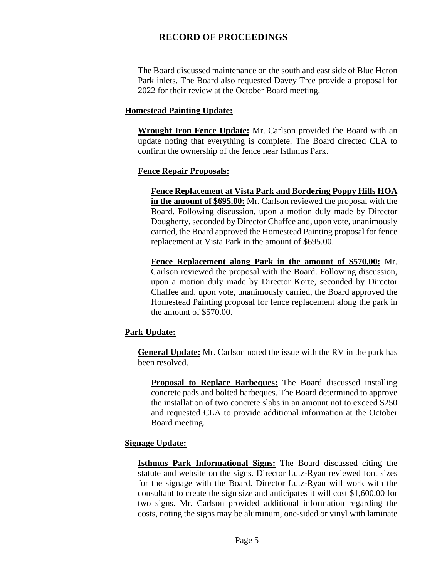The Board discussed maintenance on the south and east side of Blue Heron Park inlets. The Board also requested Davey Tree provide a proposal for 2022 for their review at the October Board meeting.

# **Homestead Painting Update:**

**Wrought Iron Fence Update:** Mr. Carlson provided the Board with an update noting that everything is complete. The Board directed CLA to confirm the ownership of the fence near Isthmus Park.

# **Fence Repair Proposals:**

**Fence Replacement at Vista Park and Bordering Poppy Hills HOA in the amount of \$695.00:** Mr. Carlson reviewed the proposal with the Board. Following discussion, upon a motion duly made by Director Dougherty, seconded by Director Chaffee and, upon vote, unanimously carried, the Board approved the Homestead Painting proposal for fence replacement at Vista Park in the amount of \$695.00.

**Fence Replacement along Park in the amount of \$570.00:** Mr. Carlson reviewed the proposal with the Board. Following discussion, upon a motion duly made by Director Korte, seconded by Director Chaffee and, upon vote, unanimously carried, the Board approved the Homestead Painting proposal for fence replacement along the park in the amount of \$570.00.

# **Park Update:**

**General Update:** Mr. Carlson noted the issue with the RV in the park has been resolved.

**Proposal to Replace Barbeques:** The Board discussed installing concrete pads and bolted barbeques. The Board determined to approve the installation of two concrete slabs in an amount not to exceed \$250 and requested CLA to provide additional information at the October Board meeting.

# **Signage Update:**

**Isthmus Park Informational Signs:** The Board discussed citing the statute and website on the signs. Director Lutz-Ryan reviewed font sizes for the signage with the Board. Director Lutz-Ryan will work with the consultant to create the sign size and anticipates it will cost \$1,600.00 for two signs. Mr. Carlson provided additional information regarding the costs, noting the signs may be aluminum, one-sided or vinyl with laminate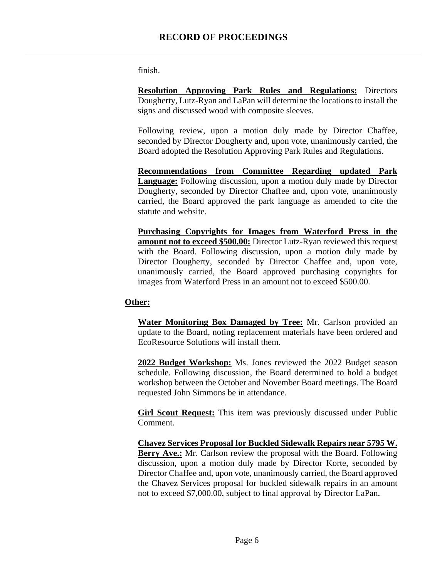finish.

**Resolution Approving Park Rules and Regulations:** Directors Dougherty, Lutz-Ryan and LaPan will determine the locations to install the signs and discussed wood with composite sleeves.

Following review, upon a motion duly made by Director Chaffee, seconded by Director Dougherty and, upon vote, unanimously carried, the Board adopted the Resolution Approving Park Rules and Regulations.

**Recommendations from Committee Regarding updated Park Language:** Following discussion, upon a motion duly made by Director Dougherty, seconded by Director Chaffee and, upon vote, unanimously carried, the Board approved the park language as amended to cite the statute and website.

**Purchasing Copyrights for Images from Waterford Press in the amount not to exceed \$500.00:** Director Lutz-Ryan reviewed this request with the Board. Following discussion, upon a motion duly made by Director Dougherty, seconded by Director Chaffee and, upon vote, unanimously carried, the Board approved purchasing copyrights for images from Waterford Press in an amount not to exceed \$500.00.

## **Other:**

**Water Monitoring Box Damaged by Tree:** Mr. Carlson provided an update to the Board, noting replacement materials have been ordered and EcoResource Solutions will install them.

**2022 Budget Workshop:** Ms. Jones reviewed the 2022 Budget season schedule. Following discussion, the Board determined to hold a budget workshop between the October and November Board meetings. The Board requested John Simmons be in attendance.

**Girl Scout Request:** This item was previously discussed under Public Comment.

**Chavez Services Proposal for Buckled Sidewalk Repairs near 5795 W. Berry Ave.:** Mr. Carlson review the proposal with the Board. Following discussion, upon a motion duly made by Director Korte, seconded by Director Chaffee and, upon vote, unanimously carried, the Board approved the Chavez Services proposal for buckled sidewalk repairs in an amount not to exceed \$7,000.00, subject to final approval by Director LaPan.